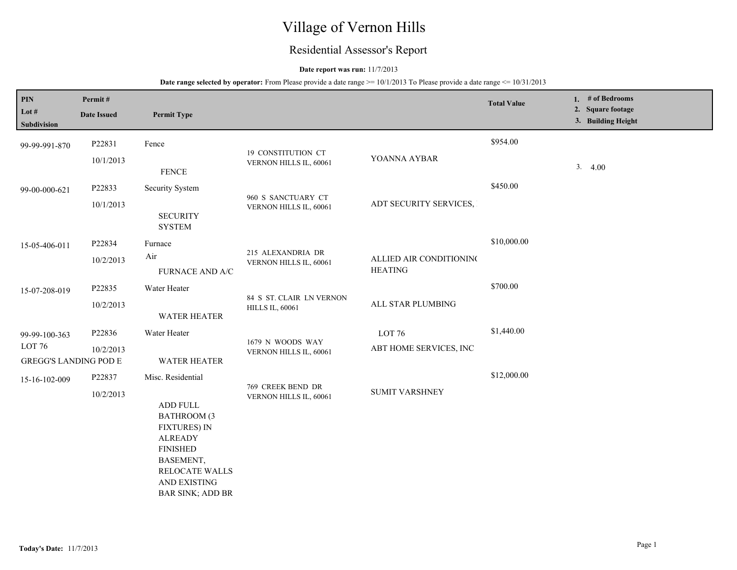# Village of Vernon Hills

## Residential Assessor's Report

#### **Date report was run:** 11/7/2013

| PIN<br>Lot $#$<br>Subdivision                     | Permit#<br><b>Date Issued</b> | <b>Permit Type</b>                                                                                                                                                                 |                                                    |                                           | <b>Total Value</b> | 1. # of Bedrooms<br>2. Square footage<br>3. Building Height |
|---------------------------------------------------|-------------------------------|------------------------------------------------------------------------------------------------------------------------------------------------------------------------------------|----------------------------------------------------|-------------------------------------------|--------------------|-------------------------------------------------------------|
| 99-99-991-870                                     | P22831                        | Fence                                                                                                                                                                              | 19 CONSTITUTION CT                                 |                                           | \$954.00           |                                                             |
|                                                   | 10/1/2013                     | ${\tt FENCE}$                                                                                                                                                                      | VERNON HILLS IL, 60061                             | YOANNA AYBAR                              |                    | 3.4.00                                                      |
| 99-00-000-621                                     | P22833                        | Security System                                                                                                                                                                    | 960 S SANCTUARY CT                                 |                                           | \$450.00           |                                                             |
|                                                   | 10/1/2013                     | <b>SECURITY</b><br><b>SYSTEM</b>                                                                                                                                                   | VERNON HILLS IL, 60061                             | ADT SECURITY SERVICES,                    |                    |                                                             |
| 15-05-406-011                                     | P22834                        | Furnace                                                                                                                                                                            |                                                    |                                           | \$10,000.00        |                                                             |
|                                                   | 10/2/2013                     | Air<br>FURNACE AND A/C                                                                                                                                                             | 215 ALEXANDRIA DR<br>VERNON HILLS IL, 60061        | ALLIED AIR CONDITIONING<br><b>HEATING</b> |                    |                                                             |
| 15-07-208-019                                     | P22835                        | Water Heater                                                                                                                                                                       |                                                    |                                           | \$700.00           |                                                             |
|                                                   | 10/2/2013                     | WATER HEATER                                                                                                                                                                       | 84 S ST. CLAIR LN VERNON<br><b>HILLS IL, 60061</b> | ALL STAR PLUMBING                         |                    |                                                             |
| 99-99-100-363                                     | P22836                        | Water Heater                                                                                                                                                                       | 1679 N WOODS WAY                                   | LOT <sub>76</sub>                         | \$1,440.00         |                                                             |
| LOT <sub>76</sub><br><b>GREGG'S LANDING POD E</b> | 10/2/2013                     | <b>WATER HEATER</b>                                                                                                                                                                | VERNON HILLS IL, 60061                             | ABT HOME SERVICES, INC                    |                    |                                                             |
| 15-16-102-009                                     | P22837                        | Misc. Residential                                                                                                                                                                  | 769 CREEK BEND DR                                  |                                           | \$12,000.00        |                                                             |
|                                                   | 10/2/2013                     | <b>ADD FULL</b><br><b>BATHROOM (3</b><br><b>FIXTURES) IN</b><br><b>ALREADY</b><br><b>FINISHED</b><br>BASEMENT,<br><b>RELOCATE WALLS</b><br>AND EXISTING<br><b>BAR SINK; ADD BR</b> | VERNON HILLS IL, 60061                             | <b>SUMIT VARSHNEY</b>                     |                    |                                                             |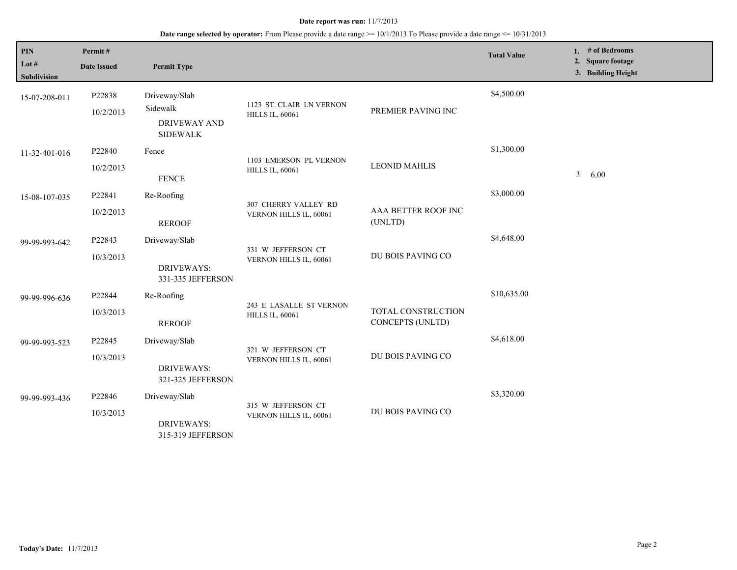| PIN<br>Lot #<br><b>Subdivision</b> | Permit#<br><b>Date Issued</b> | <b>Permit Type</b>                                                  |                                                    |                                        | <b>Total Value</b> | 1. $#$ of Bedrooms<br>2. Square footage<br>3. Building Height |
|------------------------------------|-------------------------------|---------------------------------------------------------------------|----------------------------------------------------|----------------------------------------|--------------------|---------------------------------------------------------------|
| 15-07-208-011                      | P22838<br>10/2/2013           | Driveway/Slab<br>Sidewalk<br><b>DRIVEWAY AND</b><br><b>SIDEWALK</b> | 1123 ST. CLAIR LN VERNON<br><b>HILLS IL, 60061</b> | PREMIER PAVING INC                     | \$4,500.00         |                                                               |
| 11-32-401-016                      | P22840<br>10/2/2013           | Fence<br><b>FENCE</b>                                               | 1103 EMERSON PL VERNON<br><b>HILLS IL, 60061</b>   | <b>LEONID MAHLIS</b>                   | \$1,300.00         | 3.<br>6.00                                                    |
| 15-08-107-035                      | P22841<br>10/2/2013           | Re-Roofing<br><b>REROOF</b>                                         | 307 CHERRY VALLEY RD<br>VERNON HILLS IL, 60061     | AAA BETTER ROOF INC<br>(UNLTD)         | \$3,000.00         |                                                               |
| 99-99-993-642                      | P22843<br>10/3/2013           | Driveway/Slab<br><b>DRIVEWAYS:</b><br>331-335 JEFFERSON             | 331 W JEFFERSON CT<br>VERNON HILLS IL, 60061       | DU BOIS PAVING CO                      | \$4,648.00         |                                                               |
| 99-99-996-636                      | P22844<br>10/3/2013           | Re-Roofing<br><b>REROOF</b>                                         | 243 E LASALLE ST VERNON<br><b>HILLS IL, 60061</b>  | TOTAL CONSTRUCTION<br>CONCEPTS (UNLTD) | \$10,635.00        |                                                               |
| 99-99-993-523                      | P22845<br>10/3/2013           | Driveway/Slab<br><b>DRIVEWAYS:</b><br>321-325 JEFFERSON             | 321 W JEFFERSON CT<br>VERNON HILLS IL, 60061       | DU BOIS PAVING CO                      | \$4,618.00         |                                                               |
| 99-99-993-436                      | P22846<br>10/3/2013           | Driveway/Slab<br><b>DRIVEWAYS:</b><br>315-319 JEFFERSON             | 315 W JEFFERSON CT<br>VERNON HILLS IL, 60061       | DU BOIS PAVING CO                      | \$3,320.00         |                                                               |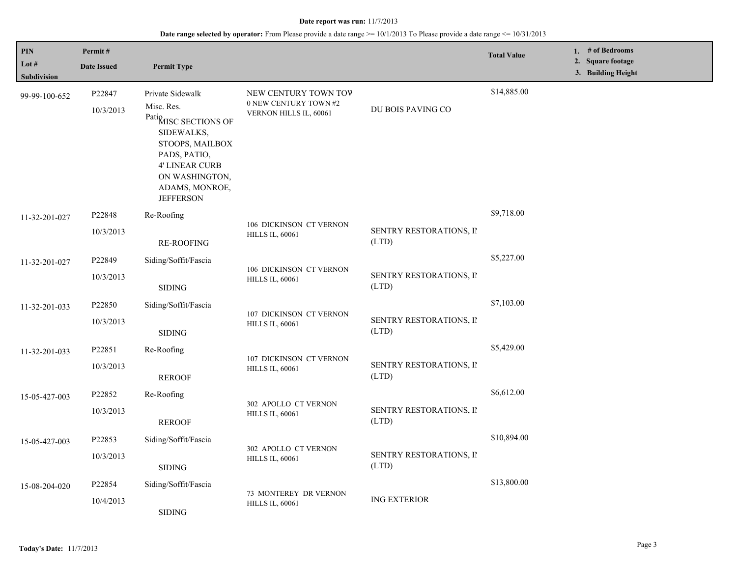| PIN                  | Permit#             |                                                                                                                                                                                    |                                                                         |                                  | <b>Total Value</b> | 1. # of Bedrooms                        |
|----------------------|---------------------|------------------------------------------------------------------------------------------------------------------------------------------------------------------------------------|-------------------------------------------------------------------------|----------------------------------|--------------------|-----------------------------------------|
| Lot #<br>Subdivision | <b>Date Issued</b>  | <b>Permit Type</b>                                                                                                                                                                 |                                                                         |                                  |                    | 2. Square footage<br>3. Building Height |
| 99-99-100-652        | P22847<br>10/3/2013 | Private Sidewalk<br>Misc. Res.<br>PatiQuISC SECTIONS OF<br>SIDEWALKS,<br>STOOPS, MAILBOX<br>PADS, PATIO,<br>4' LINEAR CURB<br>ON WASHINGTON,<br>ADAMS, MONROE,<br><b>JEFFERSON</b> | NEW CENTURY TOWN TOV<br>0 NEW CENTURY TOWN #2<br>VERNON HILLS IL, 60061 | DU BOIS PAVING CO                | \$14,885.00        |                                         |
| 11-32-201-027        | P22848<br>10/3/2013 | Re-Roofing<br><b>RE-ROOFING</b>                                                                                                                                                    | 106 DICKINSON CT VERNON<br><b>HILLS IL, 60061</b>                       | SENTRY RESTORATIONS, II<br>(LTD) | \$9,718.00         |                                         |
| 11-32-201-027        | P22849<br>10/3/2013 | Siding/Soffit/Fascia<br>$\operatorname{SIDING}$                                                                                                                                    | 106 DICKINSON CT VERNON<br><b>HILLS IL, 60061</b>                       | SENTRY RESTORATIONS, II<br>(LTD) | \$5,227.00         |                                         |
| 11-32-201-033        | P22850<br>10/3/2013 | Siding/Soffit/Fascia<br><b>SIDING</b>                                                                                                                                              | 107 DICKINSON CT VERNON<br><b>HILLS IL, 60061</b>                       | SENTRY RESTORATIONS, II<br>(LTD) | \$7,103.00         |                                         |
| 11-32-201-033        | P22851<br>10/3/2013 | Re-Roofing<br><b>REROOF</b>                                                                                                                                                        | 107 DICKINSON CT VERNON<br><b>HILLS IL, 60061</b>                       | SENTRY RESTORATIONS, II<br>(LTD) | \$5,429.00         |                                         |
| 15-05-427-003        | P22852<br>10/3/2013 | Re-Roofing<br><b>REROOF</b>                                                                                                                                                        | 302 APOLLO CT VERNON<br><b>HILLS IL, 60061</b>                          | SENTRY RESTORATIONS, II<br>(LTD) | \$6,612.00         |                                         |
| 15-05-427-003        | P22853<br>10/3/2013 | Siding/Soffit/Fascia<br><b>SIDING</b>                                                                                                                                              | 302 APOLLO CT VERNON<br><b>HILLS IL, 60061</b>                          | SENTRY RESTORATIONS, II<br>(LTD) | \$10,894.00        |                                         |
| 15-08-204-020        | P22854<br>10/4/2013 | Siding/Soffit/Fascia<br><b>SIDING</b>                                                                                                                                              | 73 MONTEREY DR VERNON<br><b>HILLS IL, 60061</b>                         | <b>ING EXTERIOR</b>              | \$13,800.00        |                                         |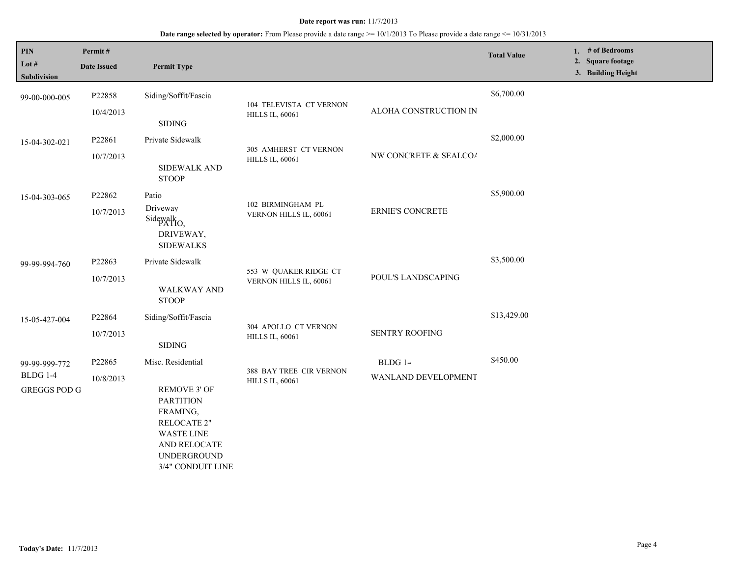| $\mathbf{PIN}$<br>Lot #<br><b>Subdivision</b>           | Permit#<br><b>Date Issued</b> | <b>Permit Type</b>                                                                                                                                                             |                                                   |                                | <b>Total Value</b> | 1. $#$ of Bedrooms<br>2. Square footage<br>3. Building Height |
|---------------------------------------------------------|-------------------------------|--------------------------------------------------------------------------------------------------------------------------------------------------------------------------------|---------------------------------------------------|--------------------------------|--------------------|---------------------------------------------------------------|
| 99-00-000-005                                           | P22858<br>10/4/2013           | Siding/Soffit/Fascia<br><b>SIDING</b>                                                                                                                                          | 104 TELEVISTA CT VERNON<br><b>HILLS IL, 60061</b> | ALOHA CONSTRUCTION IN          | \$6,700.00         |                                                               |
| 15-04-302-021                                           | P22861<br>10/7/2013           | Private Sidewalk<br>SIDEWALK AND<br><b>STOOP</b>                                                                                                                               | 305 AMHERST CT VERNON<br><b>HILLS IL, 60061</b>   | NW CONCRETE & SEALCOA          | \$2,000.00         |                                                               |
| 15-04-303-065                                           | P22862<br>10/7/2013           | Patio<br>Driveway<br>Sidewalk <sub>O</sub> ,<br>DRIVEWAY,<br><b>SIDEWALKS</b>                                                                                                  | 102 BIRMINGHAM PL<br>VERNON HILLS IL, 60061       | <b>ERNIE'S CONCRETE</b>        | \$5,900.00         |                                                               |
| 99-99-994-760                                           | P22863<br>10/7/2013           | Private Sidewalk<br><b>WALKWAY AND</b><br><b>STOOP</b>                                                                                                                         | 553 W QUAKER RIDGE CT<br>VERNON HILLS IL, 60061   | POUL'S LANDSCAPING             | \$3,500.00         |                                                               |
| 15-05-427-004                                           | P22864<br>10/7/2013           | Siding/Soffit/Fascia<br><b>SIDING</b>                                                                                                                                          | 304 APOLLO CT VERNON<br><b>HILLS IL, 60061</b>    | <b>SENTRY ROOFING</b>          | \$13,429.00        |                                                               |
| 99-99-999-772<br><b>BLDG 1-4</b><br><b>GREGGS POD G</b> | P22865<br>10/8/2013           | Misc. Residential<br><b>REMOVE 3' OF</b><br><b>PARTITION</b><br>FRAMING,<br><b>RELOCATE 2"</b><br><b>WASTE LINE</b><br>AND RELOCATE<br><b>UNDERGROUND</b><br>3/4" CONDUIT LINE | 388 BAY TREE CIR VERNON<br><b>HILLS IL, 60061</b> | BLDG 1-<br>WANLAND DEVELOPMENT | \$450.00           |                                                               |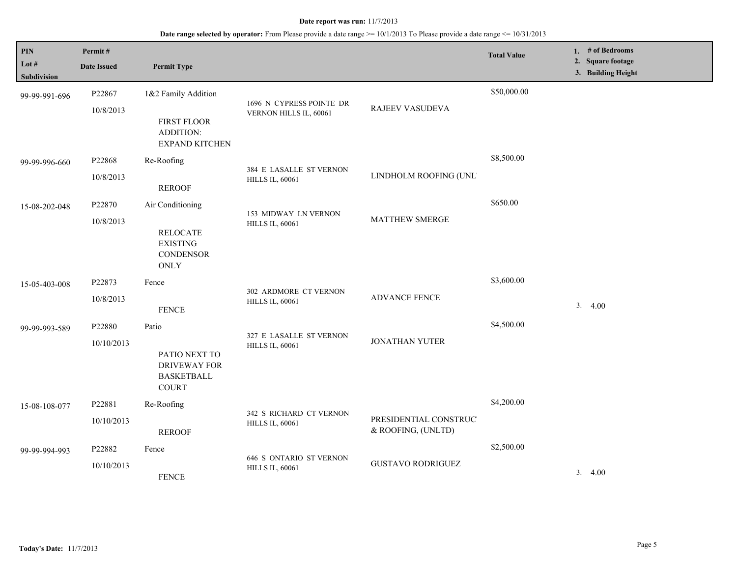| <b>PIN</b><br>Lot $#$<br>Subdivision | Permit#<br><b>Date Issued</b> | <b>Permit Type</b>                                                                 |                                                    |                                              | <b>Total Value</b> | 1. # of Bedrooms<br>2. Square footage<br>3. Building Height |
|--------------------------------------|-------------------------------|------------------------------------------------------------------------------------|----------------------------------------------------|----------------------------------------------|--------------------|-------------------------------------------------------------|
| 99-99-991-696                        | P22867<br>10/8/2013           | 1&2 Family Addition<br>FIRST FLOOR<br>ADDITION:<br><b>EXPAND KITCHEN</b>           | 1696 N CYPRESS POINTE DR<br>VERNON HILLS IL, 60061 | RAJEEV VASUDEVA                              | \$50,000.00        |                                                             |
| 99-99-996-660                        | P22868<br>10/8/2013           | Re-Roofing<br><b>REROOF</b>                                                        | 384 E LASALLE ST VERNON<br><b>HILLS IL, 60061</b>  | LINDHOLM ROOFING (UNL'                       | \$8,500.00         |                                                             |
| 15-08-202-048                        | P22870<br>10/8/2013           | Air Conditioning<br><b>RELOCATE</b><br><b>EXISTING</b><br><b>CONDENSOR</b><br>ONLY | 153 MIDWAY LN VERNON<br><b>HILLS IL, 60061</b>     | <b>MATTHEW SMERGE</b>                        | \$650.00           |                                                             |
| 15-05-403-008                        | P22873<br>10/8/2013           | Fence<br><b>FENCE</b>                                                              | 302 ARDMORE CT VERNON<br><b>HILLS IL, 60061</b>    | ADVANCE FENCE                                | \$3,600.00         | 3.4.00                                                      |
| 99-99-993-589                        | P22880<br>10/10/2013          | Patio<br>PATIO NEXT TO<br><b>DRIVEWAY FOR</b><br><b>BASKETBALL</b><br><b>COURT</b> | 327 E LASALLE ST VERNON<br><b>HILLS IL, 60061</b>  | <b>JONATHAN YUTER</b>                        | \$4,500.00         |                                                             |
| 15-08-108-077                        | P22881<br>10/10/2013          | Re-Roofing<br><b>REROOF</b>                                                        | 342 S RICHARD CT VERNON<br><b>HILLS IL, 60061</b>  | PRESIDENTIAL CONSTRUC'<br>& ROOFING, (UNLTD) | \$4,200.00         |                                                             |
| 99-99-994-993                        | P22882<br>10/10/2013          | Fence<br><b>FENCE</b>                                                              | 646 S ONTARIO ST VERNON<br><b>HILLS IL, 60061</b>  | <b>GUSTAVO RODRIGUEZ</b>                     | \$2,500.00         | 3.4.00                                                      |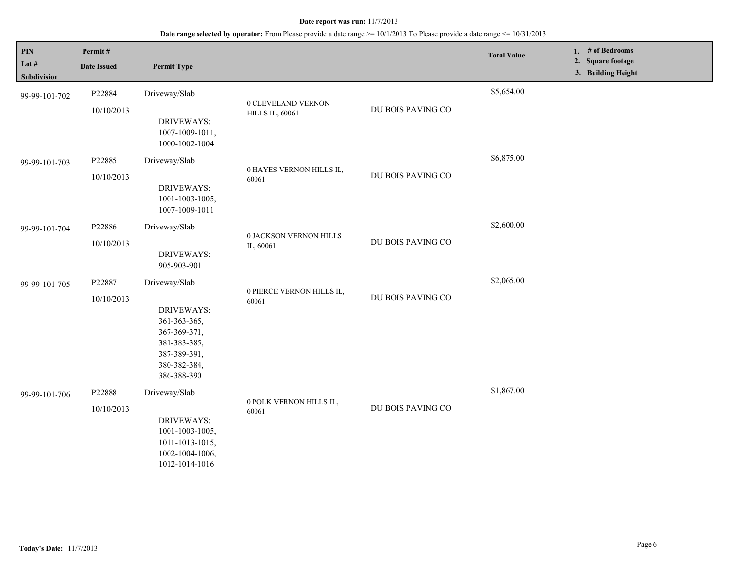| $\mathbf{PIN}$<br>Lot $#$<br>Subdivision | Permit#<br><b>Date Issued</b> | <b>Permit Type</b>                                                                                                                |                                              |                   | <b>Total Value</b> | 1. # of Bedrooms<br>2. Square footage<br>3. Building Height |
|------------------------------------------|-------------------------------|-----------------------------------------------------------------------------------------------------------------------------------|----------------------------------------------|-------------------|--------------------|-------------------------------------------------------------|
| 99-99-101-702                            | P22884<br>10/10/2013          | Driveway/Slab<br><b>DRIVEWAYS:</b><br>1007-1009-1011,<br>1000-1002-1004                                                           | 0 CLEVELAND VERNON<br><b>HILLS IL, 60061</b> | DU BOIS PAVING CO | \$5,654.00         |                                                             |
| 99-99-101-703                            | P22885<br>10/10/2013          | Driveway/Slab<br>DRIVEWAYS:<br>1001-1003-1005,<br>1007-1009-1011                                                                  | 0 HAYES VERNON HILLS IL,<br>60061            | DU BOIS PAVING CO | \$6,875.00         |                                                             |
| 99-99-101-704                            | P22886<br>10/10/2013          | Driveway/Slab<br><b>DRIVEWAYS:</b><br>905-903-901                                                                                 | 0 JACKSON VERNON HILLS<br>IL, 60061          | DU BOIS PAVING CO | \$2,600.00         |                                                             |
| 99-99-101-705                            | P22887<br>10/10/2013          | Driveway/Slab<br><b>DRIVEWAYS:</b><br>361-363-365,<br>367-369-371,<br>381-383-385,<br>387-389-391,<br>380-382-384,<br>386-388-390 | 0 PIERCE VERNON HILLS IL,<br>60061           | DU BOIS PAVING CO | \$2,065.00         |                                                             |
| 99-99-101-706                            | P22888<br>10/10/2013          | Driveway/Slab<br>DRIVEWAYS:<br>1001-1003-1005,<br>1011-1013-1015,<br>1002-1004-1006,<br>1012-1014-1016                            | 0 POLK VERNON HILLS IL,<br>60061             | DU BOIS PAVING CO | \$1,867.00         |                                                             |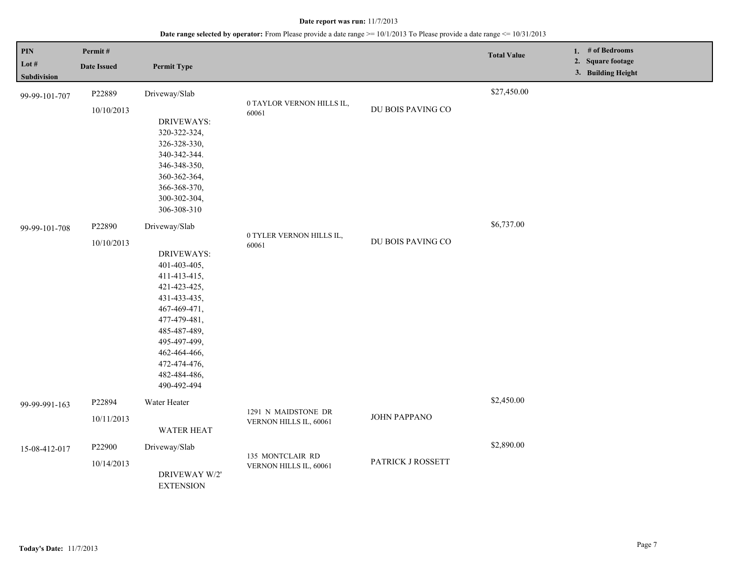| PIN<br>Lot #<br>Subdivision    | Permit#<br><b>Date Issued</b>                | <b>Permit Type</b>                                                                                                                                                                                               |                                                                         |                                        | <b>Total Value</b>        | 1. # of Bedrooms<br>2. Square footage<br>3. Building Height |
|--------------------------------|----------------------------------------------|------------------------------------------------------------------------------------------------------------------------------------------------------------------------------------------------------------------|-------------------------------------------------------------------------|----------------------------------------|---------------------------|-------------------------------------------------------------|
| 99-99-101-707<br>99-99-101-708 | P22889<br>10/10/2013<br>P22890<br>10/10/2013 | Driveway/Slab<br>DRIVEWAYS:<br>320-322-324,<br>326-328-330,<br>340-342-344.<br>346-348-350,<br>360-362-364,<br>366-368-370,<br>300-302-304,<br>306-308-310<br>Driveway/Slab                                      | 0 TAYLOR VERNON HILLS IL,<br>60061<br>0 TYLER VERNON HILLS IL,<br>60061 | DU BOIS PAVING CO<br>DU BOIS PAVING CO | \$27,450.00<br>\$6,737.00 |                                                             |
|                                |                                              | <b>DRIVEWAYS:</b><br>401-403-405,<br>411-413-415,<br>421-423-425,<br>431-433-435,<br>467-469-471,<br>477-479-481,<br>485-487-489,<br>495-497-499,<br>462-464-466,<br>472-474-476,<br>482-484-486,<br>490-492-494 |                                                                         |                                        |                           |                                                             |
| 99-99-991-163                  | P22894                                       | Water Heater                                                                                                                                                                                                     | 1291 N MAIDSTONE DR                                                     |                                        | \$2,450.00                |                                                             |
|                                | 10/11/2013                                   | <b>WATER HEAT</b>                                                                                                                                                                                                | VERNON HILLS IL, 60061                                                  | JOHN PAPPANO                           |                           |                                                             |
| 15-08-412-017                  | P22900<br>10/14/2013                         | Driveway/Slab<br>DRIVEWAY W/2'<br><b>EXTENSION</b>                                                                                                                                                               | 135 MONTCLAIR RD<br>VERNON HILLS IL, 60061                              | PATRICK J ROSSETT                      | \$2,890.00                |                                                             |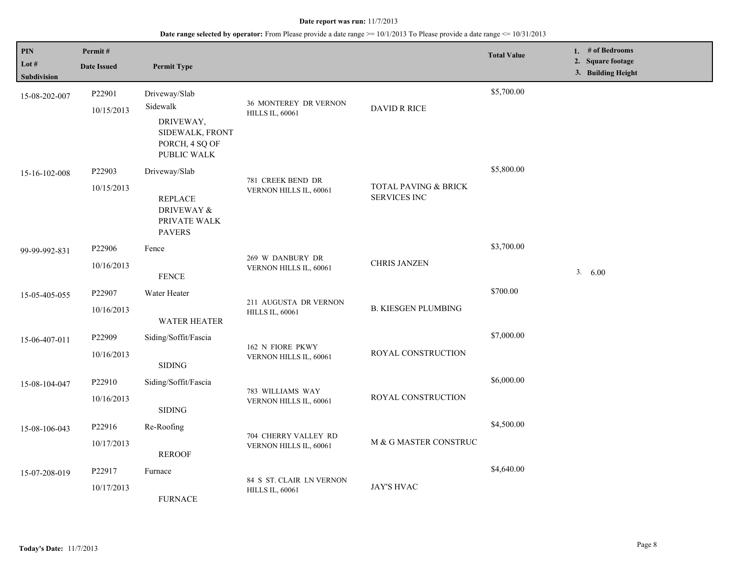| PIN                  | Permit#              |                                                                                               |                                                        |                                                        | <b>Total Value</b> | 1. # of Bedrooms                        |
|----------------------|----------------------|-----------------------------------------------------------------------------------------------|--------------------------------------------------------|--------------------------------------------------------|--------------------|-----------------------------------------|
| Lot #<br>Subdivision | <b>Date Issued</b>   | <b>Permit Type</b>                                                                            |                                                        |                                                        |                    | 2. Square footage<br>3. Building Height |
| 15-08-202-007        | P22901<br>10/15/2013 | Driveway/Slab<br>Sidewalk<br>DRIVEWAY,<br>SIDEWALK, FRONT<br>PORCH, 4 SQ OF                   | <b>36 MONTEREY DR VERNON</b><br><b>HILLS IL, 60061</b> | DAVID R RICE                                           | \$5,700.00         |                                         |
| 15-16-102-008        | P22903<br>10/15/2013 | PUBLIC WALK<br>Driveway/Slab<br><b>REPLACE</b><br>DRIVEWAY &<br>PRIVATE WALK<br><b>PAVERS</b> | 781 CREEK BEND DR<br>VERNON HILLS IL, 60061            | <b>TOTAL PAVING &amp; BRICK</b><br><b>SERVICES INC</b> | \$5,800.00         |                                         |
| 99-99-992-831        | P22906<br>10/16/2013 | Fence<br><b>FENCE</b>                                                                         | 269 W DANBURY DR<br>VERNON HILLS IL, 60061             | <b>CHRIS JANZEN</b>                                    | \$3,700.00         | 3. 6.00                                 |
| 15-05-405-055        | P22907<br>10/16/2013 | Water Heater<br><b>WATER HEATER</b>                                                           | 211 AUGUSTA DR VERNON<br><b>HILLS IL, 60061</b>        | <b>B. KIESGEN PLUMBING</b>                             | \$700.00           |                                         |
| 15-06-407-011        | P22909<br>10/16/2013 | Siding/Soffit/Fascia<br><b>SIDING</b>                                                         | 162 N FIORE PKWY<br>VERNON HILLS IL, 60061             | ROYAL CONSTRUCTION                                     | \$7,000.00         |                                         |
| 15-08-104-047        | P22910<br>10/16/2013 | Siding/Soffit/Fascia<br><b>SIDING</b>                                                         | 783 WILLIAMS WAY<br>VERNON HILLS IL, 60061             | ROYAL CONSTRUCTION                                     | \$6,000.00         |                                         |
| 15-08-106-043        | P22916<br>10/17/2013 | Re-Roofing<br><b>REROOF</b>                                                                   | 704 CHERRY VALLEY RD<br>VERNON HILLS IL, 60061         | M & G MASTER CONSTRUC                                  | \$4,500.00         |                                         |
| 15-07-208-019        | P22917<br>10/17/2013 | Furnace<br><b>FURNACE</b>                                                                     | 84 S ST. CLAIR LN VERNON<br><b>HILLS IL, 60061</b>     | JAY'S HVAC                                             | \$4,640.00         |                                         |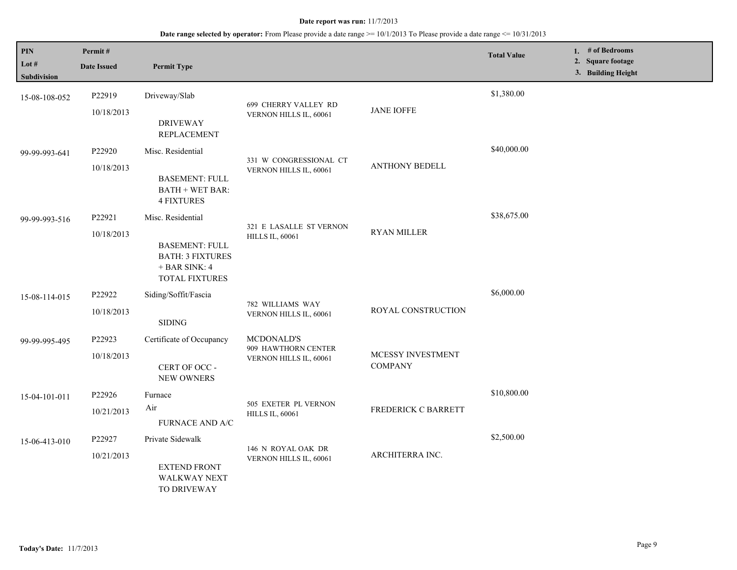### **Date range selected by operator:** From Please provide a date range >= 10/1/2013 To Please provide a date range <= 10/31/2013

| PIN<br>Lot $#$<br><b>Subdivision</b> | Permit#<br><b>Date Issued</b>    | <b>Permit Type</b>                                                                                         |                                                             |                                     | <b>Total Value</b> | 1. # of Bedrooms<br>2. Square footage<br>3. Building Height |
|--------------------------------------|----------------------------------|------------------------------------------------------------------------------------------------------------|-------------------------------------------------------------|-------------------------------------|--------------------|-------------------------------------------------------------|
| 15-08-108-052                        | P22919<br>10/18/2013             | Driveway/Slab<br><b>DRIVEWAY</b><br><b>REPLACEMENT</b>                                                     | 699 CHERRY VALLEY RD<br>VERNON HILLS IL, 60061              | <b>JANE IOFFE</b>                   | \$1,380.00         |                                                             |
| 99-99-993-641                        | P <sub>22920</sub><br>10/18/2013 | Misc. Residential<br><b>BASEMENT: FULL</b><br><b>BATH + WET BAR:</b><br><b>4 FIXTURES</b>                  | 331 W CONGRESSIONAL CT<br>VERNON HILLS IL, 60061            | <b>ANTHONY BEDELL</b>               | \$40,000.00        |                                                             |
| 99-99-993-516                        | P22921<br>10/18/2013             | Misc. Residential<br><b>BASEMENT: FULL</b><br><b>BATH: 3 FIXTURES</b><br>$+$ BAR SINK: 4<br>TOTAL FIXTURES | 321 E LASALLE ST VERNON<br><b>HILLS IL, 60061</b>           | RYAN MILLER                         | \$38,675.00        |                                                             |
| 15-08-114-015                        | P22922<br>10/18/2013             | Siding/Soffit/Fascia<br><b>SIDING</b>                                                                      | 782 WILLIAMS WAY<br>VERNON HILLS IL, 60061                  | ROYAL CONSTRUCTION                  | \$6,000.00         |                                                             |
| 99-99-995-495                        | P22923<br>10/18/2013             | Certificate of Occupancy<br>CERT OF OCC -<br>NEW OWNERS                                                    | MCDONALD'S<br>909 HAWTHORN CENTER<br>VERNON HILLS IL, 60061 | MCESSY INVESTMENT<br><b>COMPANY</b> |                    |                                                             |
| 15-04-101-011                        | P22926<br>10/21/2013             | Furnace<br>Air<br><b>FURNACE AND A/C</b>                                                                   | 505 EXETER PL VERNON<br><b>HILLS IL, 60061</b>              | FREDERICK C BARRETT                 | \$10,800.00        |                                                             |
| 15-06-413-010                        | P22927<br>10/21/2013             | Private Sidewalk<br><b>EXTEND FRONT</b><br><b>WALKWAY NEXT</b><br>TO DRIVEWAY                              | 146 N ROYAL OAK DR<br>VERNON HILLS IL, 60061                | ARCHITERRA INC.                     | \$2,500.00         |                                                             |

L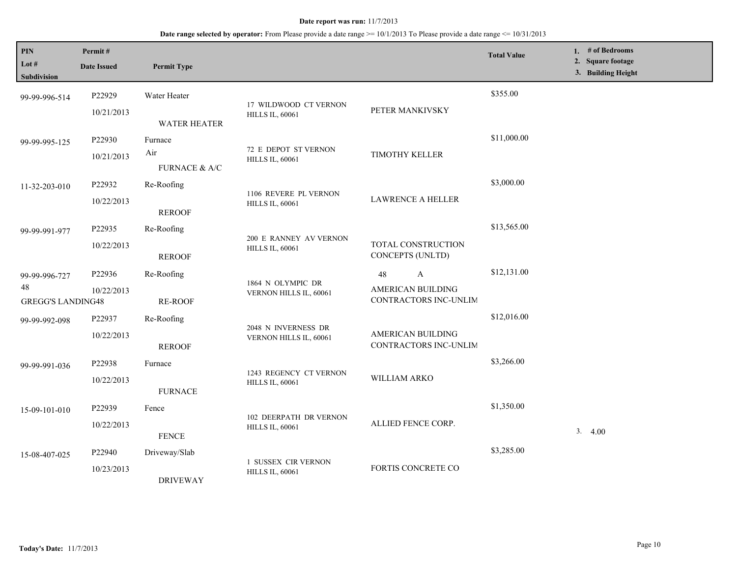| <b>PIN</b><br>Lot $#$<br>Subdivision            | Permit#<br><b>Date Issued</b> | <b>Permit Type</b>                  |                                                         |                                                                         | <b>Total Value</b> | 1. # of Bedrooms<br>2. Square footage<br>3. Building Height |
|-------------------------------------------------|-------------------------------|-------------------------------------|---------------------------------------------------------|-------------------------------------------------------------------------|--------------------|-------------------------------------------------------------|
| 99-99-996-514                                   | P22929<br>10/21/2013          | Water Heater<br><b>WATER HEATER</b> | 17 WILDWOOD CT VERNON<br><b>HILLS IL, 60061</b>         | PETER MANKIVSKY                                                         | \$355.00           |                                                             |
| 99-99-995-125                                   | P22930<br>10/21/2013          | Furnace<br>Air<br>FURNACE $\&$ A/C  | 72 E DEPOT ST VERNON<br><b>HILLS IL, 60061</b>          | <b>TIMOTHY KELLER</b>                                                   | \$11,000.00        |                                                             |
| 11-32-203-010                                   | P22932<br>10/22/2013          | Re-Roofing<br><b>REROOF</b>         | 1106 REVERE PL VERNON<br><b>HILLS IL, 60061</b>         | <b>LAWRENCE A HELLER</b>                                                | \$3,000.00         |                                                             |
| 99-99-991-977                                   | P22935<br>10/22/2013          | Re-Roofing<br><b>REROOF</b>         | 200 E RANNEY AV VERNON<br><b>HILLS IL, 60061</b>        | TOTAL CONSTRUCTION<br><b>CONCEPTS (UNLTD)</b>                           | \$13,565.00        |                                                             |
| 99-99-996-727<br>48<br><b>GREGG'S LANDING48</b> | P22936<br>10/22/2013          | Re-Roofing<br><b>RE-ROOF</b>        | 1864 N OLYMPIC DR<br>VERNON HILLS IL, 60061             | $\mathbf{A}$<br>48<br><b>AMERICAN BUILDING</b><br>CONTRACTORS INC-UNLIM | \$12,131.00        |                                                             |
| 99-99-992-098                                   | P22937<br>10/22/2013          | Re-Roofing<br><b>REROOF</b>         | 2048 N INVERNESS DR<br>VERNON HILLS IL, 60061           | AMERICAN BUILDING<br>CONTRACTORS INC-UNLIM                              | \$12,016.00        |                                                             |
| 99-99-991-036                                   | P22938<br>10/22/2013          | Furnace<br><b>FURNACE</b>           | 1243 REGENCY CT VERNON<br><b>HILLS IL, 60061</b>        | WILLIAM ARKO                                                            | \$3,266.00         |                                                             |
| 15-09-101-010                                   | P22939<br>10/22/2013          | Fence<br><b>FENCE</b>               | <b>102 DEERPATH DR VERNON</b><br><b>HILLS IL, 60061</b> | ALLIED FENCE CORP.                                                      | \$1,350.00         | 3.<br>4.00                                                  |
| 15-08-407-025                                   | P22940<br>10/23/2013          | Driveway/Slab<br><b>DRIVEWAY</b>    | <b>1 SUSSEX CIR VERNON</b><br><b>HILLS IL, 60061</b>    | FORTIS CONCRETE CO                                                      | \$3,285.00         |                                                             |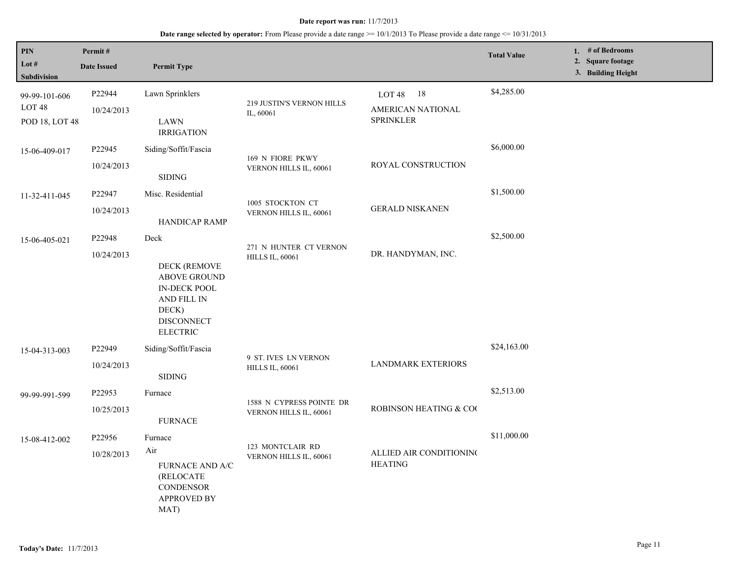### **Date range selected by operator:** From Please provide a date range >= 10/1/2013 To Please provide a date range <= 10/31/2013

| PIN<br>Lot #<br>Subdivision                          | Permit#<br><b>Date Issued</b> | <b>Permit Type</b>                                                                                                          |                                                  |                                                                    | <b>Total Value</b> | 1. # of Bedrooms<br>2. Square footage<br>3. Building Height |
|------------------------------------------------------|-------------------------------|-----------------------------------------------------------------------------------------------------------------------------|--------------------------------------------------|--------------------------------------------------------------------|--------------------|-------------------------------------------------------------|
| 99-99-101-606<br>LOT <sub>48</sub><br>POD 18, LOT 48 | P22944<br>10/24/2013          | Lawn Sprinklers<br><b>LAWN</b>                                                                                              | 219 JUSTIN'S VERNON HILLS<br>IL, 60061           | LOT <sub>48</sub><br>- 18<br>AMERICAN NATIONAL<br><b>SPRINKLER</b> | \$4,285.00         |                                                             |
|                                                      |                               | <b>IRRIGATION</b>                                                                                                           |                                                  |                                                                    |                    |                                                             |
| 15-06-409-017                                        | P <sub>22945</sub>            | Siding/Soffit/Fascia                                                                                                        | 169 N FIORE PKWY                                 |                                                                    | \$6,000.00         |                                                             |
|                                                      | 10/24/2013                    | $\operatorname{SIDING}$                                                                                                     | VERNON HILLS IL, 60061                           | ROYAL CONSTRUCTION                                                 |                    |                                                             |
| 11-32-411-045                                        | P22947                        | Misc. Residential                                                                                                           | 1005 STOCKTON CT<br>VERNON HILLS IL, 60061       |                                                                    | \$1,500.00         |                                                             |
|                                                      | 10/24/2013                    | HANDICAP RAMP                                                                                                               |                                                  | <b>GERALD NISKANEN</b>                                             |                    |                                                             |
| 15-06-405-021                                        | P22948<br>10/24/2013          | Deck<br><b>DECK (REMOVE</b><br>ABOVE GROUND<br>IN-DECK POOL<br>AND FILL IN<br>DECK)<br><b>DISCONNECT</b><br><b>ELECTRIC</b> | 271 N HUNTER CT VERNON<br><b>HILLS IL, 60061</b> | DR. HANDYMAN, INC.                                                 | \$2,500.00         |                                                             |
| 15-04-313-003                                        | P22949                        | Siding/Soffit/Fascia                                                                                                        | 9 ST. IVES LN VERNON                             |                                                                    | \$24,163.00        |                                                             |
|                                                      | 10/24/2013                    | <b>SIDING</b>                                                                                                               | <b>HILLS IL, 60061</b>                           | <b>LANDMARK EXTERIORS</b>                                          |                    |                                                             |
| 99-99-991-599                                        | P22953                        | Furnace                                                                                                                     | 1588 N CYPRESS POINTE DR                         |                                                                    | \$2,513.00         |                                                             |
|                                                      | 10/25/2013                    | <b>FURNACE</b>                                                                                                              | VERNON HILLS IL, 60061                           | ROBINSON HEATING & COO                                             |                    |                                                             |
| 15-08-412-002                                        | P22956                        | Furnace                                                                                                                     |                                                  |                                                                    | \$11,000.00        |                                                             |
|                                                      | 10/28/2013                    | Air<br>FURNACE AND A/C<br>(RELOCATE<br><b>CONDENSOR</b><br><b>APPROVED BY</b><br>MAT)                                       | 123 MONTCLAIR RD<br>VERNON HILLS IL, 60061       | ALLIED AIR CONDITIONING<br><b>HEATING</b>                          |                    |                                                             |

L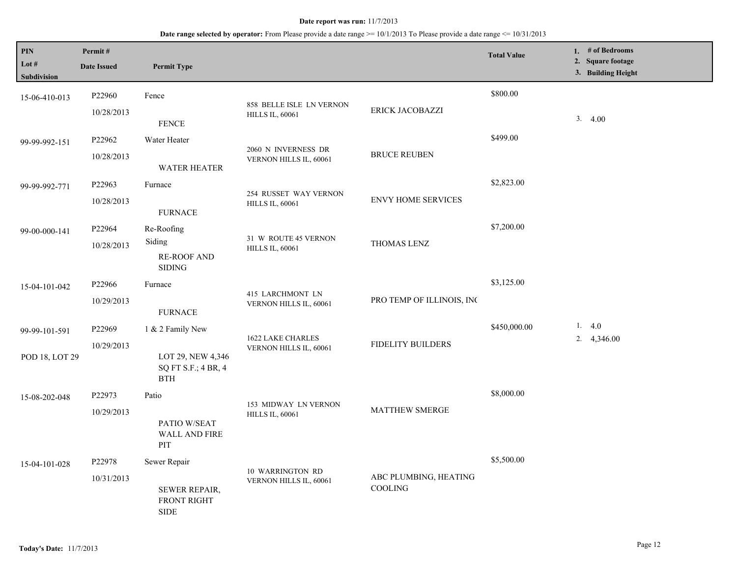| $\mathbf{PIN}$<br>Lot #<br>Subdivision | Permit#<br><b>Date Issued</b> | <b>Permit Type</b>                                                 |                                                    |                                         | <b>Total Value</b> | 1. $#$ of Bedrooms<br>2. Square footage<br>3. Building Height |
|----------------------------------------|-------------------------------|--------------------------------------------------------------------|----------------------------------------------------|-----------------------------------------|--------------------|---------------------------------------------------------------|
| 15-06-410-013                          | P22960<br>10/28/2013          | Fence<br>${\tt FENCE}$                                             | 858 BELLE ISLE LN VERNON<br><b>HILLS IL, 60061</b> | ERICK JACOBAZZI                         | \$800.00           | 3.4.00                                                        |
| 99-99-992-151                          | P22962<br>10/28/2013          | Water Heater<br><b>WATER HEATER</b>                                | 2060 N INVERNESS DR<br>VERNON HILLS IL, 60061      | <b>BRUCE REUBEN</b>                     | \$499.00           |                                                               |
| 99-99-992-771                          | P22963<br>10/28/2013          | Furnace<br><b>FURNACE</b>                                          | 254 RUSSET WAY VERNON<br><b>HILLS IL, 60061</b>    | <b>ENVY HOME SERVICES</b>               | \$2,823.00         |                                                               |
| 99-00-000-141                          | P22964<br>10/28/2013          | Re-Roofing<br>Siding<br><b>RE-ROOF AND</b><br><b>SIDING</b>        | 31 W ROUTE 45 VERNON<br><b>HILLS IL, 60061</b>     | THOMAS LENZ                             | \$7,200.00         |                                                               |
| 15-04-101-042                          | P22966<br>10/29/2013          | Furnace<br><b>FURNACE</b>                                          | 415 LARCHMONT LN<br>VERNON HILLS IL, 60061         | PRO TEMP OF ILLINOIS, INC               | \$3,125.00         |                                                               |
| 99-99-101-591<br>POD 18, LOT 29        | P22969<br>10/29/2013          | 1 & 2 Family New<br>LOT 29, NEW 4,346<br>SQ FT S.F.; 4 BR, 4       | 1622 LAKE CHARLES<br>VERNON HILLS IL, 60061        | FIDELITY BUILDERS                       | \$450,000.00       | 1.4.0<br>2. $4,346.00$                                        |
| 15-08-202-048                          | P22973<br>10/29/2013          | <b>BTH</b><br>Patio<br>PATIO W/SEAT<br>WALL AND FIRE<br>PIT        | 153 MIDWAY LN VERNON<br><b>HILLS IL, 60061</b>     | MATTHEW SMERGE                          | \$8,000.00         |                                                               |
| 15-04-101-028                          | P22978<br>10/31/2013          | Sewer Repair<br>SEWER REPAIR,<br><b>FRONT RIGHT</b><br><b>SIDE</b> | 10 WARRINGTON RD<br>VERNON HILLS IL, 60061         | ABC PLUMBING, HEATING<br><b>COOLING</b> | \$5,500.00         |                                                               |